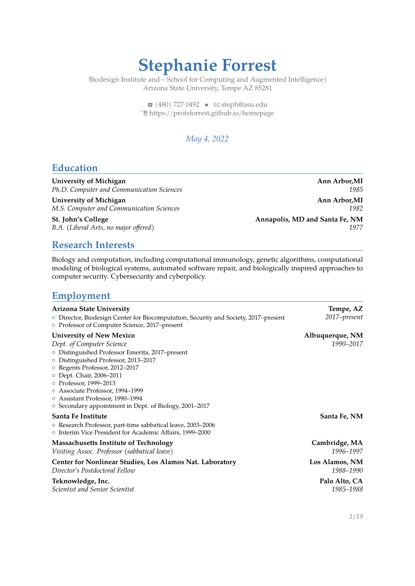# **Stephanie Forrest**

Biodesign Institute and – School for Computing and Augmented Intelligence) Arizona State University, Tempe AZ 85281

> $\bullet$  [\(480\) 727 0492](tel:4807270492)  $\bullet$   $\cong$  [steph@asu.edu](mailto:steph@asu.edu) Í[https://profsforrest.github.io/homepage](https://https://profsforrest.github.io/homepage)

### *May 4, 2022*

### **Education**

University of Michigan **Announce Announce Announce Announce** Announcement Announcement Announcement Announcement Announcement Announcement Announcement Announcement Announcement Announcement Announcement Announcement Annou *Ph.D. Computer and Communication Sciences 1985*

University of Michigan **Ann Arbor,MI Ann Arbor,MI** *M.S. Computer and Communication Sciences 1982*

St. John's College **Annapolis, MD** and Santa Fe, NM *B.A. (Liberal Arts, no major offered) 1977*

### **Research Interests**

Biology and computation, including computational immunology, genetic algorithms, computational modeling of biological systems, automated software repair, and biologically inspired approaches to computer security. Cybersecurity and cyberpolicy.

### **Employment**

| <b>Arizona State University</b>                                                                                                                                                                                                                                                                                                                                                              | Tempe, AZ                    |
|----------------------------------------------------------------------------------------------------------------------------------------------------------------------------------------------------------------------------------------------------------------------------------------------------------------------------------------------------------------------------------------------|------------------------------|
| O Director, Biodesign Center for Biocomputation, Security and Society, 2017–present<br>○ Professor of Computer Science, 2017–present                                                                                                                                                                                                                                                         | 2017-present                 |
| <b>University of New Mexico</b><br>Dept. of Computer Science<br>O Distinguished Professor Emerita, 2017-present<br>O Distinguished Professor, 2013-2017<br>o Regents Professor, 2012-2017<br>○ Dept. Chair, 2006–2011<br>o Professor, 1999-2013<br>o Associate Professor, 1994-1999<br>o Assistant Professor, 1990-1994<br><sup>o</sup> Secondary appointment in Dept. of Biology, 2001-2017 | Albuquerque, NM<br>1990-2017 |
| Santa Fe Institute<br>○ Research Professor, part-time sabbatical leave, 2003–2006<br>o Interim Vice President for Academic Affairs, 1999–2000                                                                                                                                                                                                                                                | Santa Fe, NM                 |
| <b>Massachusetts Institute of Technology</b><br>Visiting Assoc. Professor (sabbatical leave)                                                                                                                                                                                                                                                                                                 | Cambridge, MA<br>1996-1997   |
| Center for Nonlinear Studies, Los Alamos Nat. Laboratory<br>Director's Postdoctoral Fellow                                                                                                                                                                                                                                                                                                   | Los Alamos, NM<br>1988-1990  |
| Teknowledge, Inc.<br><b>Scientist and Senior Scientist</b>                                                                                                                                                                                                                                                                                                                                   | Palo Alto, CA<br>1985-1988   |
|                                                                                                                                                                                                                                                                                                                                                                                              | 1/19                         |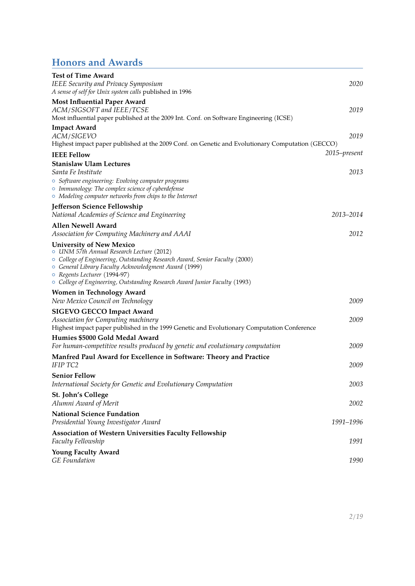## **Honors and Awards**

| <b>Test of Time Award</b>                                                                                                                                                                                                                                                                                                          |              |
|------------------------------------------------------------------------------------------------------------------------------------------------------------------------------------------------------------------------------------------------------------------------------------------------------------------------------------|--------------|
| IEEE Security and Privacy Symposium                                                                                                                                                                                                                                                                                                | 2020         |
| A sense of self for Unix system calls published in 1996                                                                                                                                                                                                                                                                            |              |
| <b>Most Influential Paper Award</b><br>ACM/SIGSOFT and IEEE/TCSE                                                                                                                                                                                                                                                                   | 2019         |
| Most influential paper published at the 2009 Int. Conf. on Software Engineering (ICSE)                                                                                                                                                                                                                                             |              |
| <b>Impact Award</b>                                                                                                                                                                                                                                                                                                                |              |
| ACM/SIGEVO                                                                                                                                                                                                                                                                                                                         | 2019         |
| Highest impact paper published at the 2009 Conf. on Genetic and Evolutionary Computation (GECCO)                                                                                                                                                                                                                                   |              |
| <b>IEEE Fellow</b>                                                                                                                                                                                                                                                                                                                 | 2015-present |
| <b>Stanislaw Ulam Lectures</b><br>Santa Fe Institute                                                                                                                                                                                                                                                                               | 2013         |
| • Software engineering: Evolving computer programs<br>• Immunology: The complex science of cyberdefense<br>$\circ$ Modeling computer networks from chips to the Internet                                                                                                                                                           |              |
| Jefferson Science Fellowship                                                                                                                                                                                                                                                                                                       |              |
| National Academies of Science and Engineering                                                                                                                                                                                                                                                                                      | 2013-2014    |
| Allen Newell Award                                                                                                                                                                                                                                                                                                                 |              |
| Association for Computing Machinery and AAAI                                                                                                                                                                                                                                                                                       | 2012         |
| <b>University of New Mexico</b><br>O UNM 57th Annual Research Lecture (2012)<br>O College of Engineering, Outstanding Research Award, Senior Faculty (2000)<br>○ General Library Faculty Acknowledgment Award (1999)<br>o Regents Lecturer (1994-97)<br>O College of Engineering, Outstanding Research Award Junior Faculty (1993) |              |
| <b>Women in Technology Award</b>                                                                                                                                                                                                                                                                                                   |              |
| New Mexico Council on Technology                                                                                                                                                                                                                                                                                                   | 2009         |
| <b>SIGEVO GECCO Impact Award</b>                                                                                                                                                                                                                                                                                                   |              |
| Association for Computing machinery                                                                                                                                                                                                                                                                                                | 2009         |
| Highest impact paper published in the 1999 Genetic and Evolutionary Computation Conference                                                                                                                                                                                                                                         |              |
| Humies \$5000 Gold Medal Award<br>For human-competitive results produced by genetic and evolutionary computation                                                                                                                                                                                                                   | 2009         |
|                                                                                                                                                                                                                                                                                                                                    |              |
| Manfred Paul Award for Excellence in Software: Theory and Practice<br><b>IFIP TC2</b>                                                                                                                                                                                                                                              | 2009         |
| <b>Senior Fellow</b>                                                                                                                                                                                                                                                                                                               |              |
| International Society for Genetic and Evolutionary Computation                                                                                                                                                                                                                                                                     | 2003         |
| St. John's College<br>Alumni Award of Merit                                                                                                                                                                                                                                                                                        | 2002         |
| <b>National Science Fundation</b>                                                                                                                                                                                                                                                                                                  |              |
| Presidential Young Investigator Award                                                                                                                                                                                                                                                                                              | 1991-1996    |
| Association of Western Universities Faculty Fellowship<br>Faculty Fellowship                                                                                                                                                                                                                                                       | 1991         |
| <b>Young Faculty Award</b><br><b>GE</b> Foundation                                                                                                                                                                                                                                                                                 | 1990         |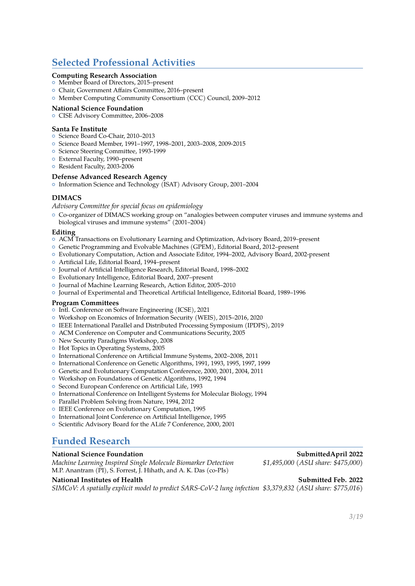### **Selected Professional Activities**

#### **Computing Research Association**

- { Member Board of Directors, 2015–present
- { Chair, Government Affairs Committee, 2016–present
- { Member Computing Community Consortium (CCC) Council, 2009–2012

#### **National Science Foundation**

{ CISE Advisory Committee, 2006–2008

#### **Santa Fe Institute**

- { Science Board Co-Chair, 2010–2013
- { Science Board Member, 1991–1997, 1998–2001, 2003–2008, 2009-2015
- { Science Steering Committee, 1993-1999
- { External Faculty, 1990–present
- <sup>o</sup> Resident Faculty, 2003-2006

#### **Defense Advanced Research Agency**

{ Information Science and Technology (ISAT) Advisory Group, 2001–2004

#### **DIMACS**

*Advisory Committee for special focus on epidemiology*

{ Co-organizer of DIMACS working group on "analogies between computer viruses and immune systems and biological viruses and immune systems" (2001–2004)

#### **Editing**

- { ACM Transactions on Evolutionary Learning and Optimization, Advisory Board, 2019–present
- { Genetic Programming and Evolvable Machines (GPEM), Editorial Board, 2012–present
- { Evolutionary Computation, Action and Associate Editor, 1994–2002, Advisory Board, 2002-present
- { Artificial Life, Editorial Board, 1994–present
- { Journal of Artificial Intelligence Research, Editorial Board, 1998–2002
- { Evolutionary Intelligence, Editorial Board, 2007–present
- { Journal of Machine Learning Research, Action Editor, 2005–2010
- { Journal of Experimental and Theoretical Artificial Intelligence, Editorial Board, 1989–1996

#### **Program Committees**

- { Intl. Conference on Software Engineering (ICSE), 2021
- { Workshop on Economics of Information Security (WEIS), 2015–2016, 2020
- { IEEE International Parallel and Distributed Processing Symposium (IPDPS), 2019
- { ACM Conference on Computer and Communications Security, 2005
- { New Security Paradigms Workshop, 2008
- { Hot Topics in Operating Systems, 2005
- { International Conference on Artificial Immune Systems, 2002–2008, 2011
- { International Conference on Genetic Algorithms, 1991, 1993, 1995, 1997, 1999
- { Genetic and Evolutionary Computation Conference, 2000, 2001, 2004, 2011
- { Workshop on Foundations of Genetic Algorithms, 1992, 1994
- { Second European Conference on Artificial Life, 1993
- { International Conference on Intelligent Systems for Molecular Biology, 1994
- { Parallel Problem Solving from Nature, 1994, 2012
- <sup>o</sup> IEEE Conference on Evolutionary Computation, 1995
- { International Joint Conference on Artificial Intelligence, 1995
- { Scientific Advisory Board for the ALife 7 Conference, 2000, 2001

### **Funded Research**

#### **National Science Foundation SubmittedApril 2022**

*Machine Learning Inspired Single Molecule Biomarker Detection \$1,495,000 (ASU share: \$475,000)* M.P. Anantram (PI), S. Forrest, J. Hihath, and A. K. Das (co-PIs)

#### **National Institutes of Health Submitted Feb. 2022**

*SIMCoV: A spatially explicit model to predict SARS-CoV-2 lung infection \$3,379,832 (ASU share: \$775,016)*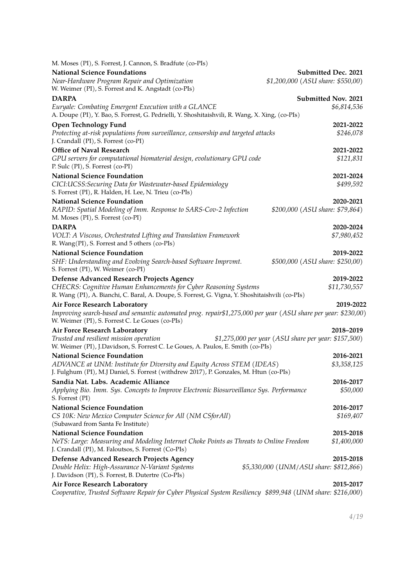| M. Moses (PI), S. Forrest, J. Cannon, S. Bradfute (co-PIs)                                                                                                          |                                                      |
|---------------------------------------------------------------------------------------------------------------------------------------------------------------------|------------------------------------------------------|
| <b>National Science Foundations</b>                                                                                                                                 | Submitted Dec. 2021                                  |
| Near-Hardware Program Repair and Optimization<br>W. Weimer (PI), S. Forrest and K. Angstadt (co-PIs)                                                                | \$1,200,000 (ASU share: \$550,00)                    |
| <b>DARPA</b>                                                                                                                                                        | Submitted Nov. 2021                                  |
| Euryale: Combating Emergent Execution with a GLANCE<br>A. Doupe (PI), Y. Bao, S. Forrest, G. Pedrielli, Y. Shoshitaishvili, R. Wang, X. Xing, (co-PIs)              | \$6,814,536                                          |
| <b>Open Technology Fund</b>                                                                                                                                         | 2021-2022                                            |
| Protecting at-risk populations from surveillance, censorship and targeted attacks<br>J. Crandall (PI), S. Forrest (co-PI)                                           | \$246,078                                            |
| <b>Office of Naval Research</b>                                                                                                                                     | 2021-2022                                            |
| GPU servers for computational biomaterial design, evolutionary GPU code<br>P. Sulc (PI), S. Forrest (co-PI)                                                         | \$121,831                                            |
| <b>National Science Foundation</b>                                                                                                                                  | 2021-2024                                            |
| CICI:UCSS:Securing Data for Wastewater-based Epidemiology<br>S. Forrest (PI), R. Halden, H. Lee, N. Trieu (co-PIs)                                                  | \$499,592                                            |
| <b>National Science Foundation</b>                                                                                                                                  | 2020-2021                                            |
| RAPID: Spatial Modeling of Imm. Response to SARS-Cov-2 Infection<br>M. Moses (PI), S. Forrest (co-PI)                                                               | \$200,000 (ASU share: \$79,864)                      |
| <b>DARPA</b>                                                                                                                                                        | 2020-2024                                            |
| VOLT: A Viscous, Orchestrated Lifting and Translation Framework<br>R. Wang(PI), S. Forrest and 5 others (co-PIs)                                                    | \$7,980,452                                          |
| <b>National Science Foundation</b>                                                                                                                                  | 2019-2022                                            |
| SHF: Understanding and Evolving Search-based Software Impromt.<br>S. Forrest (PI), W. Weimer (co-PI)                                                                | \$500,000 (ASU share: \$250,00)                      |
| Defense Advanced Research Projects Agency                                                                                                                           | 2019-2022                                            |
| CHECRS: Cognitive Human Enhancements for Cyber Reasoning Systems<br>R. Wang (PI), A. Bianchi, C. Baral, A. Doupe, S. Forrest, G. Vigna, Y. Shoshitaishvili (co-PIs) | \$11,730,557                                         |
| Air Force Research Laboratory                                                                                                                                       | 2019-2022                                            |
| Improving search-based and semantic automated prog. repair\$1,275,000 per year (ASU share per year: \$230,00)<br>W. Weimer (PI), S. Forrest C. Le Goues (co-PIs)    |                                                      |
| Air Force Research Laboratory                                                                                                                                       | 2018-2019                                            |
| Trusted and resilient mission operation<br>W. Weimer (PI), J.Davidson, S. Forrest C. Le Goues, A. Paulos, E. Smith (co-PIs)                                         | \$1,275,000 per year (ASU share per year: \$157,500) |
| <b>National Science Foundation</b>                                                                                                                                  | 2016-2021                                            |
| ADVANCE at UNM: Institute for Diversity and Equity Across STEM (IDEAS)<br>J. Fulghum (PI), M.J Daniel, S. Forrest (withdrew 2017), P. Gonzales, M. Htun (co-PIs)    | \$3,358,125                                          |
| Sandia Nat. Labs. Academic Alliance                                                                                                                                 | 2016-2017                                            |
| Applying Bio. Imm. Sys. Concepts to Improve Electronic Biosurveillance Sys. Performance<br>S. Forrest (PI)                                                          | \$50,000                                             |
| <b>National Science Foundation</b>                                                                                                                                  | 2016-2017                                            |
| CS 10K: New Mexico Computer Science for All (NM CSforAll)<br>(Subaward from Santa Fe Institute)                                                                     | \$169,407                                            |
| <b>National Science Foundation</b>                                                                                                                                  | 2015-2018                                            |
| NeTS: Large: Measuring and Modeling Internet Choke Points as Threats to Online Freedom<br>J. Crandall (PI), M. Faloutsos, S. Forrest (Co-PIs)                       | \$1,400,000                                          |
| Defense Advanced Research Projects Agency                                                                                                                           | 2015-2018                                            |
| Double Helix: High-Assurance N-Variant Systems<br>J. Davidson (PI), S. Forrest, B. Dutertre (Co-PIs)                                                                | \$5,330,000 (UNM/ASU share: \$812,866)               |
| Air Force Research Laboratory                                                                                                                                       | 2015-2017                                            |
| Cooperative, Trusted Software Repair for Cyber Physical System Resiliency \$899,948 (UNM share: \$216,000)                                                          |                                                      |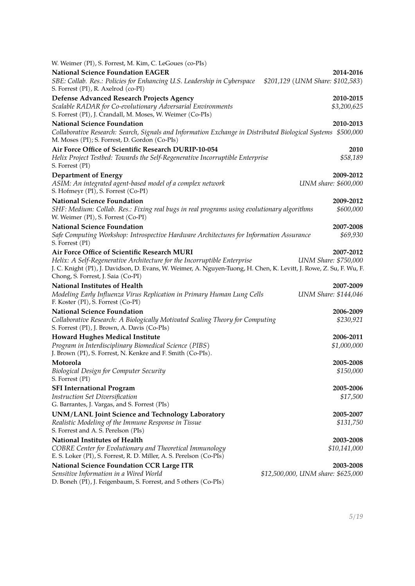| W. Weimer (PI), S. Forrest, M. Kim, C. LeGoues (co-PIs)                                                                                                                                                                               |                                    |
|---------------------------------------------------------------------------------------------------------------------------------------------------------------------------------------------------------------------------------------|------------------------------------|
| <b>National Science Foundation EAGER</b>                                                                                                                                                                                              | 2014-2016                          |
| SBE: Collab. Res.: Policies for Enhancing U.S. Leadership in Cyberspace<br>S. Forrest (PI), R. Axelrod (co-PI)                                                                                                                        | \$201,129 (UNM Share: \$102,583)   |
| Defense Advanced Research Projects Agency                                                                                                                                                                                             | 2010-2015                          |
| Scalable RADAR for Co-evolutionary Adversarial Environments<br>S. Forrest (PI), J. Crandall, M. Moses, W. Weimer (Co-PIs)                                                                                                             | \$3,200,625                        |
| <b>National Science Foundation</b><br>Collaborative Research: Search, Signals and Information Exchange in Distributed Biological Systems \$500,000<br>M. Moses (PI); S. Forrest, D. Gordon (Co-PIs)                                   | 2010-2013                          |
| Air Force Office of Scientific Research DURIP-10-054<br>Helix Project Testbed: Towards the Self-Regenerative Incorruptible Enterprise<br>S. Forrest (PI)                                                                              | 2010<br>\$58,189                   |
| <b>Department of Energy</b>                                                                                                                                                                                                           | 2009-2012                          |
| ASIM: An integrated agent-based model of a complex network<br>S. Hofmeyr (PI), S. Forrest (Co-PI)                                                                                                                                     | UNM share: \$600,000               |
| <b>National Science Foundation</b>                                                                                                                                                                                                    | 2009-2012                          |
| SHF: Medium: Collab. Res.: Fixing real bugs in real programs using evolutionary algorithms<br>W. Weimer (PI), S. Forrest (Co-PI)                                                                                                      | \$600,000                          |
| <b>National Science Foundation</b>                                                                                                                                                                                                    | 2007-2008                          |
| Safe Computing Workshop: Introspective Hardware Architectures for Information Assurance<br>S. Forrest (PI)                                                                                                                            | \$69,930                           |
| Air Force Office of Scientific Research MURI                                                                                                                                                                                          | 2007-2012                          |
| Helix: A Self-Regenerative Architecture for the Incorruptible Enterprise<br>J. C. Knight (PI), J. Davidson, D. Evans, W. Weimer, A. Nguyen-Tuong, H. Chen, K. Levitt, J. Rowe, Z. Su, F. Wu, F.<br>Chong, S. Forrest, J. Saia (Co-PI) | <b>UNM Share: \$750,000</b>        |
| National Institutes of Health                                                                                                                                                                                                         | 2007-2009                          |
| Modeling Early Influenza Virus Replication in Primary Human Lung Cells<br>F. Koster (PI), S. Forrest (Co-PI)                                                                                                                          | UNM Share: \$144,046               |
| <b>National Science Foundation</b>                                                                                                                                                                                                    | 2006-2009                          |
| Collaborative Research: A Biologically Motivated Scaling Theory for Computing<br>S. Forrest (PI), J. Brown, A. Davis (Co-PIs)                                                                                                         | \$230,921                          |
| <b>Howard Hughes Medical Institute</b>                                                                                                                                                                                                | 2006-2011                          |
| Program in Interdisciplinary Biomedical Science (PIBS)<br>J. Brown (PI), S. Forrest, N. Kenkre and F. Smith (Co-PIs).                                                                                                                 | \$1,000,000                        |
| Motorola                                                                                                                                                                                                                              | 2005-2008                          |
| Biological Design for Computer Security<br>S. Forrest (PI)                                                                                                                                                                            | \$150,000                          |
| <b>SFI International Program</b>                                                                                                                                                                                                      | 2005-2006                          |
| Instruction Set Diversification<br>G. Barrantes, J. Vargas, and S. Forrest (PIs)                                                                                                                                                      | \$17,500                           |
| <b>UNM/LANL Joint Science and Technology Laboratory</b>                                                                                                                                                                               | 2005-2007                          |
| Realistic Modeling of the Immune Response in Tissue<br>S. Forrest and A. S. Perelson (PIs)                                                                                                                                            | \$131,750                          |
| National Institutes of Health                                                                                                                                                                                                         | 2003-2008                          |
| COBRE Center for Evolutionary and Theoretical Immunology<br>E. S. Loker (PI), S. Forrest, R. D. Miller, A. S. Perelson (Co-PIs)                                                                                                       | \$10,141,000                       |
| <b>National Science Foundation CCR Large ITR</b>                                                                                                                                                                                      | 2003-2008                          |
| Sensitive Information in a Wired World<br>D. Boneh (PI), J. Feigenbaum, S. Forrest, and 5 others (Co-PIs)                                                                                                                             | \$12,500,000, UNM share: \$625,000 |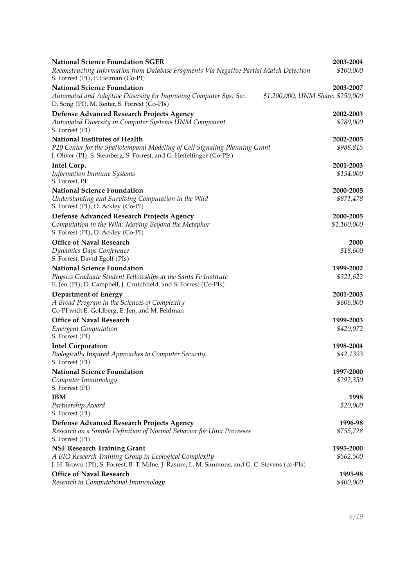| <b>National Science Foundation SGER</b>                                                                                                                   | 2003-2004                         |
|-----------------------------------------------------------------------------------------------------------------------------------------------------------|-----------------------------------|
| Reconstructing Information from Database Fragments Via Negative Partial Match Detection<br>S. Forrest (PI), P. Helman (Co-PI)                             | \$100,000                         |
| <b>National Science Foundation</b>                                                                                                                        | 2003-2007                         |
| Automated and Adaptive Diversity for Improving Computer Sys. Sec.<br>D. Song (PI), M. Reiter, S. Forrest (Co-PIs)                                         | \$1,200,000, UNM Share: \$250,000 |
| <b>Defense Advanced Research Projects Agency</b>                                                                                                          | 2002-2003                         |
| Automated Diversity in Computer Systems UNM Component<br>S. Forrest (PI)                                                                                  | \$280,000                         |
| National Institutes of Health                                                                                                                             | 2002-2005                         |
| P20 Center for the Spatiotemporal Modeling of Cell Signaling Planning Grant<br>J. Oliver (PI), S. Steinberg, S. Forrest, and G. Heffelfinger (Co-PIs)     | \$988,815                         |
| Intel Corp.                                                                                                                                               | 2001-2003                         |
| <b>Information Immune Systems</b><br>S. Forrest, PI                                                                                                       | \$154,000                         |
| <b>National Science Foundation</b>                                                                                                                        | 2000-2005                         |
| Understanding and Surviving Computation in the Wild<br>S. Forrest (PI), D. Ackley (Co-PI)                                                                 | \$871,478                         |
| Defense Advanced Research Projects Agency                                                                                                                 | 2000-2005                         |
| Computation in the Wild: Moving Beyond the Metaphor<br>S. Forrest (PI), D. Ackley (Co-PI)                                                                 | \$1,100,000                       |
| <b>Office of Naval Research</b>                                                                                                                           | 2000                              |
| Dynamics Days Conference<br>S. Forrest, David Egolf (PIs)                                                                                                 | \$18,600                          |
| <b>National Science Foundation</b>                                                                                                                        | 1999-2002                         |
| Physics Graduate Student Fellowships at the Santa Fe Institute<br>E. Jen (PI), D. Campbell, J. Crutchfield, and S. Forrest (Co-PIs)                       | \$321,622                         |
| <b>Department of Energy</b>                                                                                                                               | 2001-2003                         |
| A Broad Program in the Sciences of Complexity<br>Co-PI with E. Goldberg, E. Jen, and M. Feldman                                                           | \$606,000                         |
| <b>Office of Naval Research</b>                                                                                                                           | 1999-2003                         |
| <b>Emergent Computation</b><br>S. Forrest (PI)                                                                                                            | \$420,072                         |
| <b>Intel Corporation</b>                                                                                                                                  | 1998-2004                         |
| Biologically Inspired Approaches to Computer Security<br>S. Forrest (PI)                                                                                  | \$42,1393                         |
| National Science Foundation                                                                                                                               | 1997-2000                         |
| Computer Immunology<br>S. Forrest (PI)                                                                                                                    | \$292,350                         |
| <b>IBM</b>                                                                                                                                                | 1998                              |
| Partnership Award<br>S. Forrest (PI)                                                                                                                      | \$20,000                          |
| Defense Advanced Research Projects Agency                                                                                                                 | 1996-98                           |
| Research on a Simple Definition of Normal Behavior for Unix Processes<br>S. Forrest (PI)                                                                  | \$755,728                         |
| <b>NSF Research Training Grant</b>                                                                                                                        | 1995-2000                         |
| A BIO Research Training Group in Ecological Complexity<br>J. H. Brown (PI), S. Forrest, B. T. Milne, J. Rasure, L. M. Simmons, and G. C. Stevens (co-PIs) | \$562,500                         |
| Office of Naval Research                                                                                                                                  | 1995-98                           |
| Research in Computational Immunology                                                                                                                      | \$400,000                         |
|                                                                                                                                                           |                                   |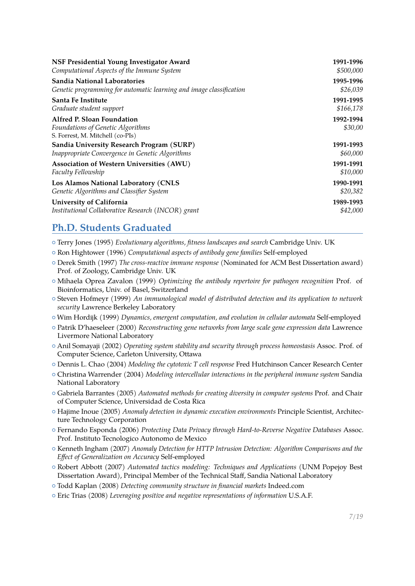| NSF Presidential Young Investigator Award                                                           | 1991-1996            |
|-----------------------------------------------------------------------------------------------------|----------------------|
| Computational Aspects of the Immune System                                                          | \$500,000            |
| <b>Sandia National Laboratories</b>                                                                 | 1995-1996            |
| Genetic programming for automatic learning and image classification                                 | \$26,039             |
| Santa Fe Institute                                                                                  | 1991-1995            |
| Graduate student support                                                                            | \$166,178            |
| Alfred P. Sloan Foundation<br>Foundations of Genetic Algorithms<br>S. Forrest, M. Mitchell (co-PIs) | 1992-1994<br>\$30,00 |
| Sandia University Research Program (SURP)                                                           | 1991-1993            |
| Inappropriate Convergence in Genetic Algorithms                                                     | \$60,000             |
| Association of Western Universities (AWU)                                                           | 1991-1991            |
| Faculty Fellowship                                                                                  | \$10,000             |
| Los Alamos National Laboratory (CNLS                                                                | 1990-1991            |
| Genetic Algorithms and Classifier System                                                            | \$20,382             |
| University of California                                                                            | 1989-1993            |
| Institutional Collaborative Research (INCOR) grant                                                  | \$42,000             |

### **Ph.D. Students Graduated**

- { Terry Jones (1995) *Evolutionary algorithms, fitness landscapes and search* Cambridge Univ. UK
- { Ron Hightower (1996) *Computational aspects of antibody gene families* Self-employed
- { Derek Smith (1997) *The cross-reactive immune response* (Nominated for ACM Best Dissertation award) Prof. of Zoology, Cambridge Univ. UK
- { Mihaela Oprea Zavalon (1999) *Optimizing the antibody repertoire for pathogen recognition* Prof. of Bioinformatics, Univ. of Basel, Switzerland
- { Steven Hofmeyr (1999) *An immunological model of distributed detection and its application to network security* Lawrence Berkeley Laboratory
- { Wim Hordijk (1999) *Dynamics, emergent computation, and evolution in cellular automata* Self-employed
- { Patrik D'haeseleer (2000) *Reconstructing gene networks from large scale gene expression data* Lawrence Livermore National Laboratory
- { Anil Somayaji (2002) *Operating system stability and security through process homeostasis* Assoc. Prof. of Computer Science, Carleton University, Ottawa
- { Dennis L. Chao (2004) *Modeling the cytotoxic T cell response* Fred Hutchinson Cancer Research Center
- { Christina Warrender (2004) *Modeling intercellular interactions in the peripheral immune system* Sandia National Laboratory
- { Gabriela Barrantes (2005) *Automated methods for creating diversity in computer systems* Prof. and Chair of Computer Science, Universidad de Costa Rica
- { Hajime Inoue (2005) *Anomaly detection in dynamic execution environments* Principle Scientist, Architecture Technology Corporation
- { Fernando Esponda (2006) *Protecting Data Privacy through Hard-to-Reverse Negative Databases* Assoc. Prof. Instituto Tecnologico Autonomo de Mexico
- { Kenneth Ingham (2007) *Anomaly Detection for HTTP Intrusion Detection: Algorithm Comparisons and the Effect of Generalization on Accuracy* Self-employed
- { Robert Abbott (2007) *Automated tactics modeling: Techniques and Applications* (UNM Popejoy Best Dissertation Award), Principal Member of the Technical Staff, Sandia National Laboratory
- { Todd Kaplan (2008) *Detecting community structure in financial markets* Indeed.com
- { Eric Trias (2008) *Leveraging positive and negative representations of information* U.S.A.F.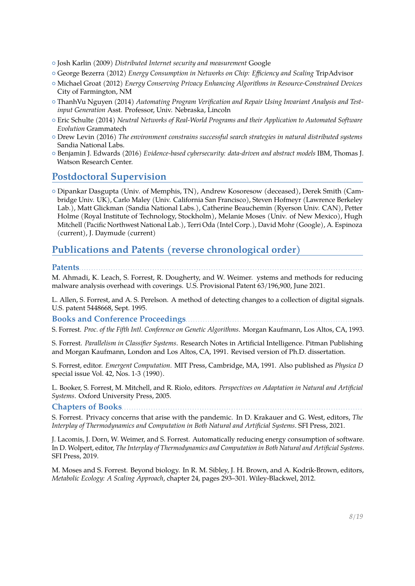- { Josh Karlin (2009) *Distributed Internet security and measurement* Google
- { George Bezerra (2012) *Energy Consumption in Networks on Chip: Efficiency and Scaling* TripAdvisor
- { Michael Groat (2012) *Energy Conserving Privacy Enhancing Algorithms in Resource-Constrained Devices* City of Farmington, NM
- { ThanhVu Nguyen (2014) *Automating Program Verification and Repair Using Invariant Analysis and Testinput Generation* Asst. Professor, Univ. Nebraska, Lincoln
- { Eric Schulte (2014) *Neutral Networks of Real-World Programs and their Application to Automated Software Evolution* Grammatech
- { Drew Levin (2016) *The environment constrains successful search strategies in natural distributed systems* Sandia National Labs.
- { Benjamin J. Edwards (2016) *Evidence-based cybersecurity: data-driven and abstract models* IBM, Thomas J. Watson Research Center.

### **Postdoctoral Supervision**

{ Dipankar Dasgupta (Univ. of Memphis, TN), Andrew Kosoresow (deceased), Derek Smith (Cambridge Univ. UK), Carlo Maley (Univ. California San Francisco), Steven Hofmeyr (Lawrence Berkeley Lab.), Matt Glickman (Sandia National Labs.), Catherine Beauchemin (Ryerson Univ. CAN), Petter Holme (Royal Institute of Technology, Stockholm), Melanie Moses (Univ. of New Mexico), Hugh Mitchell (Pacific Northwest National Lab.), Terri Oda (Intel Corp.), David Mohr (Google), A. Espinoza (current), J. Daymude (current)

### **Publications and Patents (reverse chronological order)**

**Patents**. . . . . . . . . . . . . . . . . . . . . . . . . . . . . . . . . . . . . . . . . . . . . . . . . . . . . . . . . . . . . . . . . . . . . . . . . . . . . . . . . . . . . . . . . . . . . . . . . . . . . . . . . . . . . . . . . . . . M. Ahmadi, K. Leach, S. Forrest, R. Dougherty, and W. Weimer. ystems and methods for reducing malware analysis overhead with coverings. U.S. Provisional Patent 63/196,900, June 2021.

L. Allen, S. Forrest, and A. S. Perelson. A method of detecting changes to a collection of digital signals. U.S. patent 5448668, Sept. 1995.

**Books and Conference Proceedings**. . . . . . . . . . . . . . . . . . . . . . . . . . . . . . . . . . . . . . . . . . . . . . . . . . . . . . . . . . . . . . . . . . . . . . . .

S. Forrest. *Proc. of the Fifth Intl. Conference on Genetic Algorithms*. Morgan Kaufmann, Los Altos, CA, 1993.

S. Forrest. *Parallelism in Classifier Systems*. Research Notes in Artificial Intelligence. Pitman Publishing and Morgan Kaufmann, London and Los Altos, CA, 1991. Revised version of Ph.D. dissertation.

S. Forrest, editor. *Emergent Computation*. MIT Press, Cambridge, MA, 1991. Also published as *Physica D* special issue Vol. 42, Nos. 1-3 (1990).

L. Booker, S. Forrest, M. Mitchell, and R. Riolo, editors. *Perspectives on Adaptation in Natural and Artificial Systems*. Oxford University Press, 2005.

**Chapters of Books**. . . . . . . . . . . . . . . . . . . . . . . . . . . . . . . . . . . . . . . . . . . . . . . . . . . . . . . . . . . . . . . . . . . . . . . . . . . . . . . . . . . . . . . . . . . . . . . . . . .

S. Forrest. Privacy concerns that arise with the pandemic. In D. Krakauer and G. West, editors, *The Interplay of Thermodynamics and Computation in Both Natural and Artificial Systems*. SFI Press, 2021.

J. Lacomis, J. Dorn, W. Weimer, and S. Forrest. Automatically reducing energy consumption of software. In D. Wolpert, editor, *The Interplay of Thermodynamics and Computation in Both Natural and Artificial Systems*. SFI Press, 2019.

M. Moses and S. Forrest. Beyond biology. In R. M. Sibley, J. H. Brown, and A. Kodrik-Brown, editors, *Metabolic Ecology: A Scaling Approach*, chapter 24, pages 293–301. Wiley-Blackwel, 2012.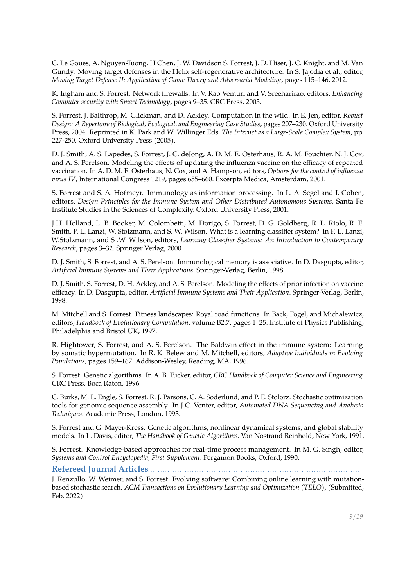C. Le Goues, A. Nguyen-Tuong, H Chen, J. W. Davidson S. Forrest, J. D. Hiser, J. C. Knight, and M. Van Gundy. Moving target defenses in the Helix self-regenerative architecture. In S. Jajodia et al., editor, *Moving Target Defense II: Application of Game Theory and Adversarial Modeling*, pages 115–146, 2012.

K. Ingham and S. Forrest. Network firewalls. In V. Rao Vemuri and V. Sreeharirao, editors, *Enhancing Computer security with Smart Technology*, pages 9–35. CRC Press, 2005.

S. Forrest, J. Balthrop, M. Glickman, and D. Ackley. Computation in the wild. In E. Jen, editor, *Robust Design: A Repertoire of Biological, Ecological, and Engineering Case Studies*, pages 207–230. Oxford University Press, 2004. Reprinted in K. Park and W. Willinger Eds. *The Internet as a Large-Scale Complex System*, pp. 227-250. Oxford University Press (2005).

D. J. Smith, A. S. Lapedes, S. Forrest, J. C. deJong, A. D. M. E. Osterhaus, R. A. M. Fouchier, N. J. Cox, and A. S. Perelson. Modeling the effects of updating the influenza vaccine on the efficacy of repeated vaccination. In A. D. M. E. Osterhaus, N. Cox, and A. Hampson, editors, *Options for the control of influenza virus IV*, International Congress 1219, pages 655–660. Excerpta Medica, Amsterdam, 2001.

S. Forrest and S. A. Hofmeyr. Immunology as information processing. In L. A. Segel and I. Cohen, editors, *Design Principles for the Immune System and Other Distributed Autonomous Systems*, Santa Fe Institute Studies in the Sciences of Complexity. Oxford University Press, 2001.

J.H. Holland, L. B. Booker, M. Colombetti, M. Dorigo, S. Forrest, D. G. Goldberg, R. L. Riolo, R. E. Smith, P. L. Lanzi, W. Stolzmann, and S. W. Wilson. What is a learning classifier system? In P. L. Lanzi, W.Stolzmann, and S .W. Wilson, editors, *Learning Classifier Systems: An Introduction to Contemporary Research*, pages 3–32. Springer Verlag, 2000.

D. J. Smith, S. Forrest, and A. S. Perelson. Immunological memory is associative. In D. Dasgupta, editor, *Artificial Immune Systems and Their Applications*. Springer-Verlag, Berlin, 1998.

D. J. Smith, S. Forrest, D. H. Ackley, and A. S. Perelson. Modeling the effects of prior infection on vaccine efficacy. In D. Dasgupta, editor, *Artificial Immune Systems and Their Application*. Springer-Verlag, Berlin, 1998.

M. Mitchell and S. Forrest. Fitness landscapes: Royal road functions. In Back, Fogel, and Michalewicz, editors, *Handbook of Evolutionary Computation*, volume B2.7, pages 1–25. Institute of Physics Publishing, Philadelphia and Bristol UK, 1997.

R. Hightower, S. Forrest, and A. S. Perelson. The Baldwin effect in the immune system: Learning by somatic hypermutation. In R. K. Belew and M. Mitchell, editors, *Adaptive Individuals in Evolving Populations*, pages 159–167. Addison-Wesley, Reading, MA, 1996.

S. Forrest. Genetic algorithms. In A. B. Tucker, editor, *CRC Handbook of Computer Science and Engineering*. CRC Press, Boca Raton, 1996.

C. Burks, M. L. Engle, S. Forrest, R. J. Parsons, C. A. Soderlund, and P. E. Stolorz. Stochastic optimization tools for genomic sequence assembly. In J.C. Venter, editor, *Automated DNA Sequencing and Analysis Techniques*. Academic Press, London, 1993.

S. Forrest and G. Mayer-Kress. Genetic algorithms, nonlinear dynamical systems, and global stability models. In L. Davis, editor, *The Handbook of Genetic Algorithms*. Van Nostrand Reinhold, New York, 1991.

S. Forrest. Knowledge-based approaches for real-time process management. In M. G. Singh, editor, *Systems and Control Encyclopedia, First Supplement*. Pergamon Books, Oxford, 1990.

**Refereed Journal Articles...** 

J. Renzullo, W. Weimer, and S. Forrest. Evolving software: Combining online learning with mutationbased stochastic search. *ACM Transactions on Evolutionary Learning and Optimization (TELO)*, (Submitted, Feb. 2022).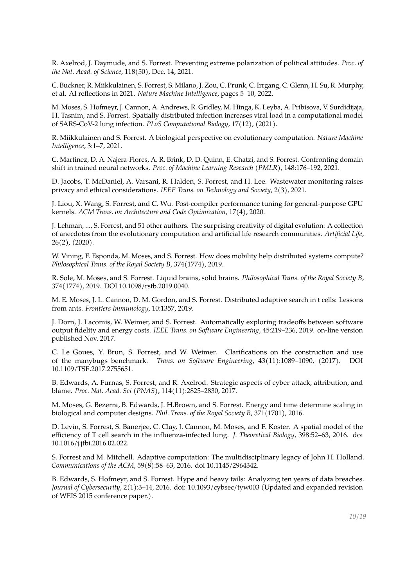R. Axelrod, J. Daymude, and S. Forrest. Preventing extreme polarization of political attitudes. *Proc. of the Nat. Acad. of Science*, 118(50), Dec. 14, 2021.

C. Buckner, R. Miikkulainen, S. Forrest, S. Milano, J. Zou, C. Prunk, C. Irrgang, C. Glenn, H. Su, R. Murphy, et al. AI reflections in 2021. *Nature Machine Intelligence*, pages 5–10, 2022.

M. Moses, S. Hofmeyr, J. Cannon, A. Andrews, R. Gridley, M. Hinga, K. Leyba, A. Pribisova, V. Surdidijaja, H. Tasnim, and S. Forrest. Spatially distributed infection increases viral load in a computational model of SARS-CoV-2 lung infection. *PLoS Computational Biology*, 17(12), (2021).

R. Miikkulainen and S. Forrest. A biological perspective on evolutionary computation. *Nature Machine Intelligence*, 3:1–7, 2021.

C. Martinez, D. A. Najera-Flores, A. R. Brink, D. D. Quinn, E. Chatzi, and S. Forrest. Confronting domain shift in trained neural networks. *Proc. of Machine Learning Research (PMLR)*, 148:176–192, 2021.

D. Jacobs, T. McDaniel, A. Varsani, R. Halden, S. Forrest, and H. Lee. Wastewater monitoring raises privacy and ethical considerations. *IEEE Trans. on Technology and Society*, 2(3), 2021.

J. Liou, X. Wang, S. Forrest, and C. Wu. Post-compiler performance tuning for general-purpose GPU kernels. *ACM Trans. on Architecture and Code Optimization*, 17(4), 2020.

J. Lehman, ..., S. Forrest, and 51 other authors. The surprising creativity of digital evolution: A collection of anecdotes from the evolutionary computation and artificial life research communities. *Artificial Life*, 26(2), (2020).

W. Vining, F. Esponda, M. Moses, and S. Forrest. How does mobility help distributed systems compute? *Philosophical Trans. of the Royal Society B*, 374(1774), 2019.

R. Sole, M. Moses, and S. Forrest. Liquid brains, solid brains. *Philosophical Trans. of the Royal Society B*, 374(1774), 2019. DOI 10.1098/rstb.2019.0040.

M. E. Moses, J. L. Cannon, D. M. Gordon, and S. Forrest. Distributed adaptive search in t cells: Lessons from ants. *Frontiers Immunology*, 10:1357, 2019.

J. Dorn, J. Lacomis, W. Weimer, and S. Forrest. Automatically exploring tradeoffs between software output fidelity and energy costs. *IEEE Trans. on Software Engineering*, 45:219–236, 2019. on-line version published Nov. 2017.

C. Le Goues, Y. Brun, S. Forrest, and W. Weimer. Clarifications on the construction and use of the manybugs benchmark. *Trans. on Software Engineering*, 43(11):1089–1090, (2017). DOI 10.1109/TSE.2017.2755651.

B. Edwards, A. Furnas, S. Forrest, and R. Axelrod. Strategic aspects of cyber attack, attribution, and blame. *Proc. Nat. Acad. Sci (PNAS)*, 114(11):2825–2830, 2017.

M. Moses, G. Bezerra, B. Edwards, J. H.Brown, and S. Forrest. Energy and time determine scaling in biological and computer designs. *Phil. Trans. of the Royal Society B*, 371(1701), 2016.

D. Levin, S. Forrest, S. Banerjee, C. Clay, J. Cannon, M. Moses, and F. Koster. A spatial model of the efficiency of T cell search in the influenza-infected lung. *J. Theoretical Biology*, 398:52–63, 2016. doi 10.1016/j.jtbi.2016.02.022.

S. Forrest and M. Mitchell. Adaptive computation: The multidisciplinary legacy of John H. Holland. *Communications of the ACM*, 59(8):58–63, 2016. doi 10.1145/2964342.

B. Edwards, S. Hofmeyr, and S. Forrest. Hype and heavy tails: Analyzing ten years of data breaches. *Journal of Cybersecurity*, 2(1):3–14, 2016. doi: 10.1093/cybsec/tyw003 (Updated and expanded revision of WEIS 2015 conference paper.).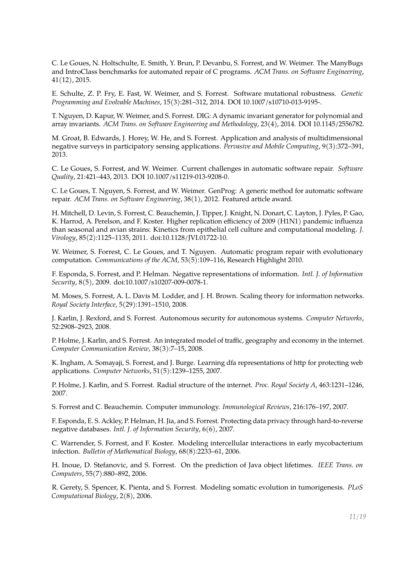C. Le Goues, N. Holtschulte, E. Smith, Y. Brun, P. Devanbu, S. Forrest, and W. Weimer. The ManyBugs and IntroClass benchmarks for automated repair of C programs. *ACM Trans. on Software Engineering*, 41(12), 2015.

E. Schulte, Z. P. Fry, E. Fast, W. Weimer, and S. Forrest. Software mutational robustness. *Genetic Programming and Evolvable Machines*, 15(3):281–312, 2014. DOI 10.1007/s10710-013-9195-.

T. Nguyen, D. Kapur, W. Weimer, and S. Forrest. DIG: A dynamic invariant generator for polynomial and array invariants. *ACM Trans. on Software Engineering and Methodology*, 23(4), 2014. DOI 10.1145/2556782.

M. Groat, B. Edwards, J. Horey, W. He, and S. Forrest. Application and analysis of multidimensional negative surveys in participatory sensing applications. *Pervasive and Mobile Computing*, 9(3):372–391, 2013.

C. Le Goues, S. Forrest, and W. Weimer. Current challenges in automatic software repair. *Software Quality*, 21:421–443, 2013. DOI 10.1007/s11219-013-9208-0.

C. Le Goues, T. Nguyen, S. Forrest, and W. Weimer. GenProg: A generic method for automatic software repair. *ACM Trans. on Software Engineering*, 38(1), 2012. Featured article award.

H. Mitchell, D. Levin, S. Forrest, C. Beauchemin, J. Tipper, J. Knight, N. Donart, C. Layton, J. Pyles, P. Gao, K. Harrod, A. Perelson, and F. Koster. Higher replication efficiency of 2009 (H1N1) pandemic influenza than seasonal and avian strains: Kinetics from epithelial cell culture and computational modeling. *J. Virology*, 85(2):1125–1135, 2011. doi:10.1128/JVI.01722-10.

W. Weimer, S. Forrest, C. Le Goues, and T. Nguyen. Automatic program repair with evolutionary computation. *Communications of the ACM*, 53(5):109–116, Research Highlight 2010.

F. Esponda, S. Forrest, and P. Helman. Negative representations of information. *Intl. J. of Information Security*, 8(5), 2009. doi:10.1007/s10207-009-0078-1.

M. Moses, S. Forrest, A. L. Davis M. Lodder, and J. H. Brown. Scaling theory for information networks. *Royal Society Interface*, 5(29):1391–1510, 2008.

J. Karlin, J. Rexford, and S. Forrest. Autonomous security for autonomous systems. *Computer Networks*, 52:2908–2923, 2008.

P. Holme, J. Karlin, and S. Forrest. An integrated model of traffic, geography and economy in the internet. *Computer Communication Review*, 38(3):7–15, 2008.

K. Ingham, A. Somayaji, S. Forrest, and J. Burge. Learning dfa representations of http for protecting web applications. *Computer Networks*, 51(5):1239–1255, 2007.

P. Holme, J. Karlin, and S. Forrest. Radial structure of the internet. *Proc. Royal Society A*, 463:1231–1246, 2007.

S. Forrest and C. Beauchemin. Computer immunology. *Immunological Reviews*, 216:176–197, 2007.

F. Esponda, E. S. Ackley, P. Helman, H. Jia, and S. Forrest. Protecting data privacy through hard-to-reverse negative databases. *Intl. J. of Information Security*, 6(6), 2007.

C. Warrender, S. Forrest, and F. Koster. Modeling intercellular interactions in early mycobacterium infection. *Bulletin of Mathematical Biology*, 68(8):2233–61, 2006.

H. Inoue, D. Stefanovic, and S. Forrest. On the prediction of Java object lifetimes. *IEEE Trans. on Computers*, 55(7):880–892, 2006.

R. Gerety, S. Spencer, K. Pienta, and S. Forrest. Modeling somatic evolution in tumorigenesis. *PLoS Computational Biology*, 2(8), 2006.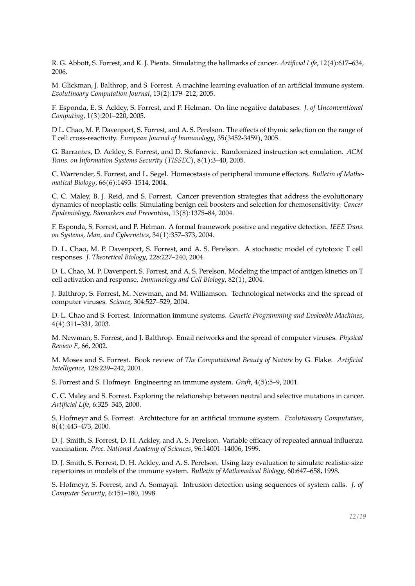R. G. Abbott, S. Forrest, and K. J. Pienta. Simulating the hallmarks of cancer. *Artificial Life*, 12(4):617–634, 2006.

M. Glickman, J. Balthrop, and S. Forrest. A machine learning evaluation of an artificial immune system. *Evolutinoary Computation Journal*, 13(2):179–212, 2005.

F. Esponda, E. S. Ackley, S. Forrest, and P. Helman. On-line negative databases. *J. of Unconventional Computing*, 1(3):201–220, 2005.

D L. Chao, M. P. Davenport, S. Forrest, and A. S. Perelson. The effects of thymic selection on the range of T cell cross-reactivity. *European Journal of Immunology*, 35(3452-3459), 2005.

G. Barrantes, D. Ackley, S. Forrest, and D. Stefanovic. Randomized instruction set emulation. *ACM Trans. on Information Systems Security (TISSEC)*, 8(1):3–40, 2005.

C. Warrender, S. Forrest, and L. Segel. Homeostasis of peripheral immune effectors. *Bulletin of Mathematical Biology*, 66(6):1493–1514, 2004.

C. C. Maley, B. J. Reid, and S. Forrest. Cancer prevention strategies that address the evolutionary dynamics of neoplastic cells: Simulating benign cell boosters and selection for chemosensitivity. *Cancer Epidemiology, Biomarkers and Prevention*, 13(8):1375–84, 2004.

F. Esponda, S. Forrest, and P. Helman. A formal framework positive and negative detection. *IEEE Trans. on Systems, Man, and Cybernetics*, 34(1):357–373, 2004.

D. L. Chao, M. P. Davenport, S. Forrest, and A. S. Perelson. A stochastic model of cytotoxic T cell responses. *J. Theoretical Biology*, 228:227–240, 2004.

D. L. Chao, M. P. Davenport, S. Forrest, and A. S. Perelson. Modeling the impact of antigen kinetics on T cell activation and response. *Immunology and Cell Biology*, 82(1), 2004.

J. Balthrop, S. Forrest, M. Newman, and M. Williamson. Technological networks and the spread of computer viruses. *Science*, 304:527–529, 2004.

D. L. Chao and S. Forrest. Information immune systems. *Genetic Programming and Evolvable Machines*, 4(4):311–331, 2003.

M. Newman, S. Forrest, and J. Balthrop. Email networks and the spread of computer viruses. *Physical Review E*, 66, 2002.

M. Moses and S. Forrest. Book review of *The Computational Beauty of Nature* by G. Flake. *Artificial Intelligence*, 128:239–242, 2001.

S. Forrest and S. Hofmeyr. Engineering an immune system. *Graft*, 4(5):5–9, 2001.

C. C. Maley and S. Forrest. Exploring the relationship between neutral and selective mutations in cancer. *Artificial Life*, 6:325–345, 2000.

S. Hofmeyr and S. Forrest. Architecture for an artificial immune system. *Evolutionary Computation*, 8(4):443–473, 2000.

D. J. Smith, S. Forrest, D. H. Ackley, and A. S. Perelson. Variable efficacy of repeated annual influenza vaccination. *Proc. National Academy of Sciences*, 96:14001–14006, 1999.

D. J. Smith, S. Forrest, D. H. Ackley, and A. S. Perelson. Using lazy evaluation to simulate realistic-size repertoires in models of the immune system. *Bulletin of Mathematical Biology*, 60:647–658, 1998.

S. Hofmeyr, S. Forrest, and A. Somayaji. Intrusion detection using sequences of system calls. *J. of Computer Security*, 6:151–180, 1998.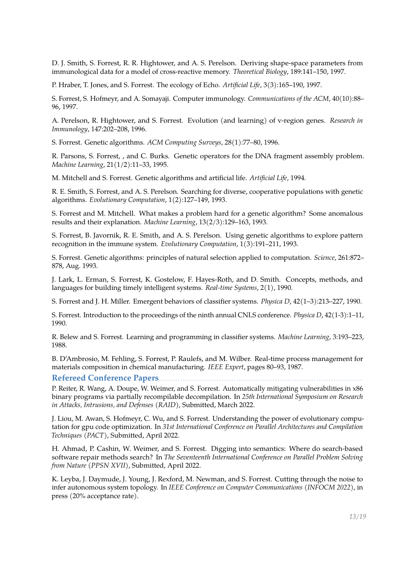D. J. Smith, S. Forrest, R. R. Hightower, and A. S. Perelson. Deriving shape-space parameters from immunological data for a model of cross-reactive memory. *Theoretical Biology*, 189:141–150, 1997.

P. Hraber, T. Jones, and S. Forrest. The ecology of Echo. *Artificial Life*, 3(3):165–190, 1997.

S. Forrest, S. Hofmeyr, and A. Somayaji. Computer immunology. *Communications of the ACM*, 40(10):88– 96, 1997.

A. Perelson, R. Hightower, and S. Forrest. Evolution (and learning) of v-region genes. *Research in Immunology*, 147:202–208, 1996.

S. Forrest. Genetic algorithms. *ACM Computing Surveys*, 28(1):77–80, 1996.

R. Parsons, S. Forrest, , and C. Burks. Genetic operators for the DNA fragment assembly problem. *Machine Learning*, 21(1/2):11–33, 1995.

M. Mitchell and S. Forrest. Genetic algorithms and artificial life. *Artificial Life*, 1994.

R. E. Smith, S. Forrest, and A. S. Perelson. Searching for diverse, cooperative populations with genetic algorithms. *Evolutionary Computation*, 1(2):127–149, 1993.

S. Forrest and M. Mitchell. What makes a problem hard for a genetic algorithm? Some anomalous results and their explanation. *Machine Learning*, 13(2/3):129–163, 1993.

S. Forrest, B. Javornik, R. E. Smith, and A. S. Perelson. Using genetic algorithms to explore pattern recognition in the immune system. *Evolutionary Computation*, 1(3):191–211, 1993.

S. Forrest. Genetic algorithms: principles of natural selection applied to computation. *Science*, 261:872– 878, Aug. 1993.

J. Lark, L. Erman, S. Forrest, K. Gostelow, F. Hayes-Roth, and D. Smith. Concepts, methods, and languages for building timely intelligent systems. *Real-time Systems*, 2(1), 1990.

S. Forrest and J. H. Miller. Emergent behaviors of classifier systems. *Physica D*, 42(1–3):213–227, 1990.

S. Forrest. Introduction to the proceedings of the ninth annual CNLS conference. *Physica D*, 42(1-3):1–11, 1990.

R. Belew and S. Forrest. Learning and programming in classifier systems. *Machine Learning*, 3:193–223, 1988.

B. D'Ambrosio, M. Fehling, S. Forrest, P. Raulefs, and M. Wilber. Real-time process management for materials composition in chemical manufacturing. *IEEE Expert*, pages 80–93, 1987.

<span id="page-12-0"></span>Refereed Conference Papers....

P. Reiter, R. Wang, A. Doupe, W. Weimer, and S. Forrest. Automatically mitigating vulnerabilities in x86 binary programs via partially recompilable decompilation. In *25th International Symposium on Research in Attacks, Intrusions, and Defenses (RAID)*, Submitted, March 2022.

J. Liou, M. Awan, S. Hofmeyr, C. Wu, and S. Forrest. Understanding the power of evolutionary computation for gpu code optimization. In *31st International Conference on Parallel Architectures and Compilation Techniques (PACT)*, Submitted, April 2022.

H. Ahmad, P. Cashin, W. Weimer, and S. Forrest. Digging into semantics: Where do search-based software repair methods search? In *The Seventeenth International Conference on Parallel Problem Solving from Nature (PPSN XVII)*, Submitted, April 2022.

K. Leyba, J. Daymude, J. Young, J. Rexford, M. Newman, and S. Forrest. Cutting through the noise to infer autonomous system topology. In *IEEE Conference on Computer Communications (INFOCM 2022)*, in press (20% acceptance rate).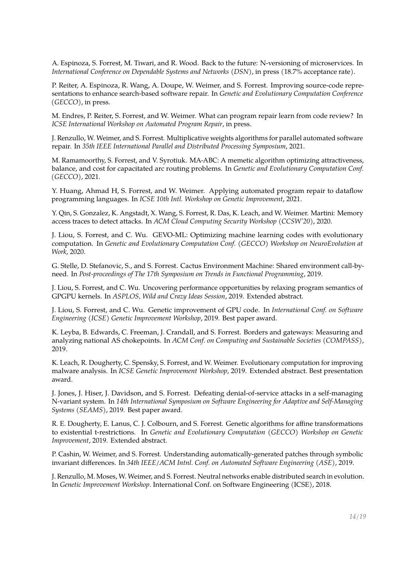A. Espinoza, S. Forrest, M. Tiwari, and R. Wood. Back to the future: N-versioning of microservices. In *International Conference on Dependable Systems and Networks (DSN)*, in press (18.7% acceptance rate).

P. Reiter, A. Espinoza, R. Wang, A. Doupe, W. Weimer, and S. Forrest. Improving source-code representations to enhance search-based software repair. In *Genetic and Evolutionary Computation Conference (GECCO)*, in press.

M. Endres, P. Reiter, S. Forrest, and W. Weimer. What can program repair learn from code review? In *ICSE International Workshop on Automated Program Repair*, in press.

J. Renzullo, W. Weimer, and S. Forrest. Multiplicative weights algorithms for parallel automated software repair. In *35th IEEE International Parallel and Distributed Processing Symposium*, 2021.

M. Ramamoorthy, S. Forrest, and V. Syrotiuk. MA-ABC: A memetic algorithm optimizing attractiveness, balance, and cost for capacitated arc routing problems. In *Genetic and Evolutionary Computation Conf. (GECCO)*, 2021.

Y. Huang, Ahmad H, S. Forrest, and W. Weimer. Applying automated program repair to dataflow programming languages. In *ICSE 10th Intl. Workshop on Genetic Improvement*, 2021.

Y. Qin, S. Gonzalez, K. Angstadt, X. Wang, S. Forrest, R. Das, K. Leach, and W. Weimer. Martini: Memory access traces to detect attacks. In *ACM Cloud Computing Security Workshop (CCSW'20)*, 2020.

J. Liou, S. Forrest, and C. Wu. GEVO-ML: Optimizing machine learning codes with evolutionary computation. In *Genetic and Evolutionary Computation Conf. (GECCO) Workshop on NeuroEvolution at Work*, 2020.

G. Stelle, D. Stefanovic, S., and S. Forrest. Cactus Environment Machine: Shared environment call-byneed. In *Post-proceedings of The 17th Symposium on Trends in Functional Programming*, 2019.

J. Liou, S. Forrest, and C. Wu. Uncovering performance opportunities by relaxing program semantics of GPGPU kernels. In *ASPLOS, Wild and Crazy Ideas Session*, 2019. Extended abstract.

J. Liou, S. Forrest, and C. Wu. Genetic improvement of GPU code. In *International Conf. on Software Engineering (ICSE) Genetic Improvement Workshop*, 2019. Best paper award.

K. Leyba, B. Edwards, C. Freeman, J. Crandall, and S. Forrest. Borders and gateways: Measuring and analyzing national AS chokepoints. In *ACM Conf. on Computing and Sustainable Societies (COMPASS)*, 2019.

K. Leach, R. Dougherty, C. Spensky, S. Forrest, and W. Weimer. Evolutionary computation for improving malware analysis. In *ICSE Genetic Improvement Workshop*, 2019. Extended abstract. Best presentation award.

J. Jones, J. Hiser, J. Davidson, and S. Forrest. Defeating denial-of-service attacks in a self-managing N-variant system. In *14th International Symposium on Software Engineering for Adaptive and Self-Managing Systems (SEAMS)*, 2019. Best paper award.

R. E. Dougherty, E. Lanus, C. J. Colbourn, and S. Forrest. Genetic algorithms for affine transformations to existential t-restrictions. In *Genetic and Evolutionary Computation (GECCO) Workshop on Genetic Improvement*, 2019. Extended abstract.

P. Cashin, W. Weimer, and S. Forrest. Understanding automatically-generated patches through symbolic invariant differences. In *34th IEEE/ACM Intnl. Conf. on Automated Software Engineering (ASE)*, 2019.

J. Renzullo, M. Moses, W. Weimer, and S. Forrest. Neutral networks enable distributed search in evolution. In *Genetic Improvement Workshop*. International Conf. on Software Engineering (ICSE), 2018.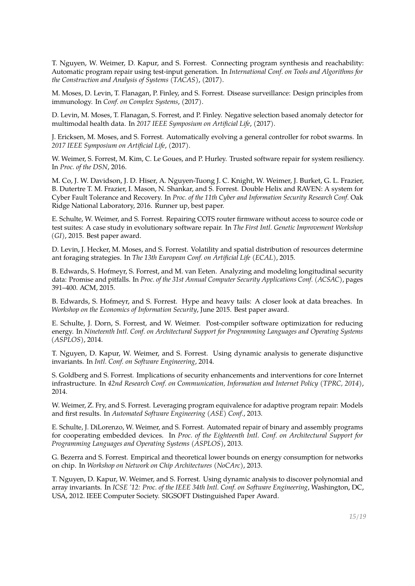T. Nguyen, W. Weimer, D. Kapur, and S. Forrest. Connecting program synthesis and reachability: Automatic program repair using test-input generation. In *International Conf. on Tools and Algorithms for the Construction and Analysis of Systems (TACAS)*, (2017).

M. Moses, D. Levin, T. Flanagan, P. Finley, and S. Forrest. Disease surveillance: Design principles from immunology. In *Conf. on Complex Systems*, (2017).

D. Levin, M. Moses, T. Flanagan, S. Forrest, and P. Finley. Negative selection based anomaly detector for multimodal health data. In *2017 IEEE Symposium on Artificial Life*, (2017).

J. Ericksen, M. Moses, and S. Forrest. Automatically evolving a general controller for robot swarms. In *2017 IEEE Symposium on Artificial Life*, (2017).

W. Weimer, S. Forrest, M. Kim, C. Le Goues, and P. Hurley. Trusted software repair for system resiliency. In *Proc. of the DSN*, 2016.

M. Co, J. W. Davidson, J. D. Hiser, A. Nguyen-Tuong J. C. Knight, W. Weimer, J. Burket, G. L. Frazier, B. Dutertre T. M. Frazier, I. Mason, N. Shankar, and S. Forrest. Double Helix and RAVEN: A system for Cyber Fault Tolerance and Recovery. In *Proc. of the 11th Cyber and Information Security Research Conf.* Oak Ridge National Laboratory, 2016. Runner up, best paper.

E. Schulte, W. Weimer, and S. Forrest. Repairing COTS router firmware without access to source code or test suites: A case study in evolutionary software repair. In *The First Intl. Genetic Improvement Workshop (GI)*, 2015. Best paper award.

D. Levin, J. Hecker, M. Moses, and S. Forrest. Volatility and spatial distribution of resources determine ant foraging strategies. In *The 13th European Conf. on Artificial Life (ECAL)*, 2015.

B. Edwards, S. Hofmeyr, S. Forrest, and M. van Eeten. Analyzing and modeling longitudinal security data: Promise and pitfalls. In *Proc. of the 31st Annual Computer Security Applications Conf. (ACSAC)*, pages 391–400. ACM, 2015.

B. Edwards, S. Hofmeyr, and S. Forrest. Hype and heavy tails: A closer look at data breaches. In *Workshop on the Economics of Information Security*, June 2015. Best paper award.

E. Schulte, J. Dorn, S. Forrest, and W. Weimer. Post-compiler software optimization for reducing energy. In *Nineteenth Intl. Conf. on Architectural Support for Programming Languages and Operating Systems (ASPLOS)*, 2014.

T. Nguyen, D. Kapur, W. Weimer, and S. Forrest. Using dynamic analysis to generate disjunctive invariants. In *Intl. Conf. on Software Engineering*, 2014.

S. Goldberg and S. Forrest. Implications of security enhancements and interventions for core Internet infrastructure. In *42nd Research Conf. on Communication, Information and Internet Policy (TPRC, 2014)*, 2014.

W. Weimer, Z. Fry, and S. Forrest. Leveraging program equivalence for adaptive program repair: Models and first results. In *Automated Software Engineering (ASE) Conf.*, 2013.

E. Schulte, J. DiLorenzo, W. Weimer, and S. Forrest. Automated repair of binary and assembly programs for cooperating embedded devices. In *Proc. of the Eighteenth Intl. Conf. on Architectural Support for Programming Languages and Operating Systems (ASPLOS)*, 2013.

G. Bezerra and S. Forrest. Empirical and theoretical lower bounds on energy consumption for networks on chip. In *Workshop on Network on Chip Architectures (NoCArc)*, 2013.

T. Nguyen, D. Kapur, W. Weimer, and S. Forrest. Using dynamic analysis to discover polynomial and array invariants. In *ICSE '12: Proc. of the IEEE 34th Intl. Conf. on Software Engineering*, Washington, DC, USA, 2012. IEEE Computer Society. SIGSOFT Distinguished Paper Award.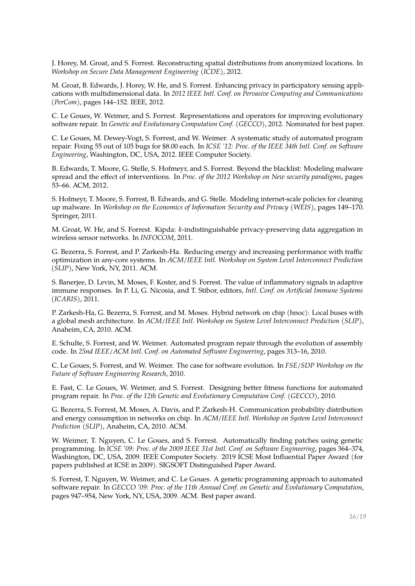J. Horey, M. Groat, and S. Forrest. Reconstructing spatial distributions from anonymized locations. In *Workshop on Secure Data Management Engineering (ICDE)*, 2012.

M. Groat, B. Edwards, J. Horey, W. He, and S. Forrest. Enhancing privacy in participatory sensing applications with multidimensional data. In *2012 IEEE Intl. Conf. on Pervasive Computing and Communications (PerCom)*, pages 144–152. IEEE, 2012.

C. Le Goues, W. Weimer, and S. Forrest. Representations and operators for improving evolutionary software repair. In *Genetic and Evolutionary Computation Conf. (GECCO)*, 2012. Nominated for best paper.

C. Le Goues, M. Dewey-Vogt, S. Forrest, and W. Weimer. A systematic study of automated program repair: Fixing 55 out of 105 bugs for \$8.00 each. In *ICSE '12: Proc. of the IEEE 34th Intl. Conf. on Software Engineering*, Washington, DC, USA, 2012. IEEE Computer Society.

B. Edwards, T. Moore, G. Stelle, S. Hofmeyr, and S. Forrest. Beyond the blacklist: Modeling malware spread and the effect of interventions. In *Proc. of the 2012 Workshop on New security paradigms*, pages 53–66. ACM, 2012.

S. Hofmeyr, T. Moore, S. Forrest, B. Edwards, and G. Stelle. Modeling internet-scale policies for cleaning up malware. In *Workshop on the Economics of Information Security and Privacy (WEIS)*, pages 149–170. Springer, 2011.

M. Groat, W. He, and S. Forrest. Kipda: *k*-indistinguishable privacy-preserving data aggregation in wireless sensor networks. In *INFOCOM*, 2011.

G. Bezerra, S. Forrest, and P. Zarkesh-Ha. Reducing energy and increasing performance with traffic optimization in any-core systems. In *ACM/IEEE Intl. Workshop on System Level Interconnect Prediction (SLIP)*, New York, NY, 2011. ACM.

S. Banerjee, D. Levin, M. Moses, F. Koster, and S. Forrest. The value of inflammatory signals in adaptive immune responses. In P. Li, G. Nicosia, and T. Stibor, editors, *Intl. Conf. on Artificial Immune Systems (ICARIS)*, 2011.

P. Zarkesh-Ha, G. Bezerra, S. Forrest, and M. Moses. Hybrid network on chip (hnoc): Local buses with a global mesh architecture. In *ACM/IEEE Intl. Workshop on System Level Interconnect Prediction (SLIP)*, Anaheim, CA, 2010. ACM.

E. Schulte, S. Forrest, and W. Weimer. Automated program repair through the evolution of assembly code. In *25nd IEEE/ACM Intl. Conf. on Automated Software Engineering*, pages 313–16, 2010.

C. Le Goues, S. Forrest, and W. Weimer. The case for software evolution. In *FSE/SDP Workshop on the Future of Software Engineering Research*, 2010.

E. Fast, C. Le Goues, W. Weimer, and S. Forrest. Designing better fitness functions for automated program repair. In *Proc. of the 12th Genetic and Evolutionary Computation Conf. (GECCO)*, 2010.

G. Bezerra, S. Forrest, M. Moses, A. Davis, and P. Zarkesh-H. Communication probability distribution and energy consumption in networks on chip. In *ACM/IEEE Intl. Workshop on System Level Interconnect Prediction (SLIP)*, Anaheim, CA, 2010. ACM.

W. Weimer, T. Nguyen, C. Le Goues, and S. Forrest. Automatically finding patches using genetic programming. In *ICSE '09: Proc. of the 2009 IEEE 31st Intl. Conf. on Software Engineering*, pages 364–374, Washington, DC, USA, 2009. IEEE Computer Society. 2019 ICSE Most Influential Paper Award (for papers published at ICSE in 2009). SIGSOFT Distinguished Paper Award.

S. Forrest, T. Nguyen, W. Weimer, and C. Le Goues. A genetic programming approach to automated software repair. In *GECCO '09: Proc. of the 11th Annual Conf. on Genetic and Evolutionary Computation*, pages 947–954, New York, NY, USA, 2009. ACM. Best paper award.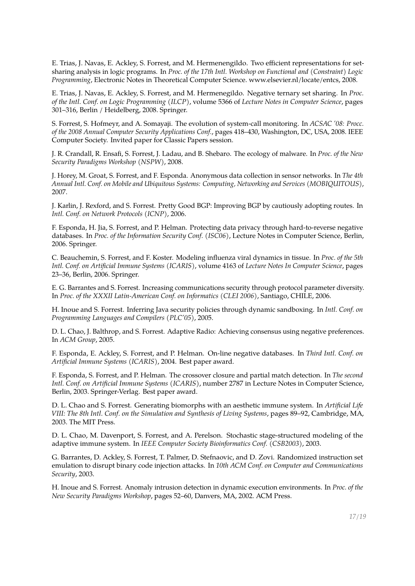E. Trias, J. Navas, E. Ackley, S. Forrest, and M. Hermenengildo. Two efficient representations for setsharing analysis in logic programs. In *Proc. of the 17th Intl. Workshop on Functional and (Constraint) Logic Programming*, Electronic Notes in Theoretical Computer Science. www.elsevier.nl/locate/entcs, 2008.

E. Trias, J. Navas, E. Ackley, S. Forrest, and M. Hermenegildo. Negative ternary set sharing. In *Proc. of the Intl. Conf. on Logic Programming (ILCP)*, volume 5366 of *Lecture Notes in Computer Science*, pages 301–316, Berlin / Heidelberg, 2008. Springer.

S. Forrest, S. Hofmeyr, and A. Somayaji. The evolution of system-call monitoring. In *ACSAC '08: Procc. of the 2008 Annual Computer Security Applications Conf.*, pages 418–430, Washington, DC, USA, 2008. IEEE Computer Society. Invited paper for Classic Papers session.

J. R. Crandall, R. Ensafi, S. Forrest, J. Ladau, and B. Shebaro. The ecology of malware. In *Proc. of the New Security Paradigms Workshop (NSPW)*, 2008.

J. Horey, M. Groat, S. Forrest, and F. Esponda. Anonymous data collection in sensor networks. In *The 4th Annual Intl. Conf. on Mobile and Ubiquitous Systems: Computing, Networking and Services (MOBIQUITOUS)*, 2007.

J. Karlin, J. Rexford, and S. Forrest. Pretty Good BGP: Improving BGP by cautiously adopting routes. In *Intl. Conf. on Network Protocols (ICNP)*, 2006.

F. Esponda, H. Jia, S. Forrest, and P. Helman. Protecting data privacy through hard-to-reverse negative databases. In *Proc. of the Information Security Conf. (ISC06)*, Lecture Notes in Computer Science, Berlin, 2006. Springer.

C. Beauchemin, S. Forrest, and F. Koster. Modeling influenza viral dynamics in tissue. In *Proc. of the 5th Intl. Conf. on Artificial Immune Systems (ICARIS)*, volume 4163 of *Lecture Notes In Computer Science*, pages 23–36, Berlin, 2006. Springer.

E. G. Barrantes and S. Forrest. Increasing communications security through protocol parameter diversity. In *Proc. of the XXXII Latin-American Conf. on Informatics (CLEI 2006)*, Santiago, CHILE, 2006.

H. Inoue and S. Forrest. Inferring Java security policies through dynamic sandboxing. In *Intl. Conf. on Programming Languages and Compilers (PLC'05)*, 2005.

D. L. Chao, J. Balthrop, and S. Forrest. Adaptive Radio: Achieving consensus using negative preferences. In *ACM Group*, 2005.

F. Esponda, E. Ackley, S. Forrest, and P. Helman. On-line negative databases. In *Third Intl. Conf. on Artificial Immune Systems (ICARIS)*, 2004. Best paper award.

F. Esponda, S. Forrest, and P. Helman. The crossover closure and partial match detection. In *The second Intl. Conf. on Artificial Immune Systems (ICARIS)*, number 2787 in Lecture Notes in Computer Science, Berlin, 2003. Springer-Verlag. Best paper award.

D. L. Chao and S. Forrest. Generating biomorphs with an aesthetic immune system. In *Artificial Life VIII: The 8th Intl. Conf. on the Simulation and Synthesis of Living Systems*, pages 89–92, Cambridge, MA, 2003. The MIT Press.

D. L. Chao, M. Davenport, S. Forrest, and A. Perelson. Stochastic stage-structured modeling of the adaptive immune system. In *IEEE Computer Society Bioinformatics Conf. (CSB2003)*, 2003.

G. Barrantes, D. Ackley, S. Forrest, T. Palmer, D. Stefnaovic, and D. Zovi. Randomized instruction set emulation to disrupt binary code injection attacks. In *10th ACM Conf. on Computer and Communications Security*, 2003.

H. Inoue and S. Forrest. Anomaly intrusion detection in dynamic execution environments. In *Proc. of the New Security Paradigms Workshop*, pages 52–60, Danvers, MA, 2002. ACM Press.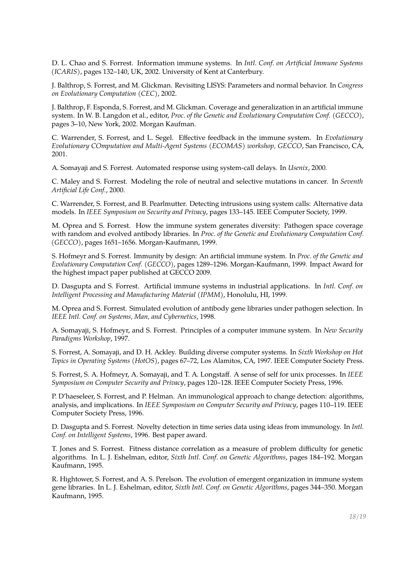D. L. Chao and S. Forrest. Information immune systems. In *Intl. Conf. on Artificial Immune Systems (ICARIS)*, pages 132–140, UK, 2002. University of Kent at Canterbury.

J. Balthrop, S. Forrest, and M. Glickman. Revisiting LISYS: Parameters and normal behavior. In *Congress on Evolutionary Computation (CEC)*, 2002.

J. Balthrop, F. Esponda, S. Forrest, and M. Glickman. Coverage and generalization in an artificial immune system. In W. B. Langdon et al., editor, *Proc. of the Genetic and Evolutionary Computation Conf. (GECCO)*, pages 3–10, New York, 2002. Morgan Kaufman.

C. Warrender, S. Forrest, and L. Segel. Effective feedback in the immune system. In *Evolutionary Evolutionary COmputation and Multi-Agent Systems (ECOMAS) workshop, GECCO*, San Francisco, CA, 2001.

A. Somayaji and S. Forrest. Automated response using system-call delays. In *Usenix*, 2000.

C. Maley and S. Forrest. Modeling the role of neutral and selective mutations in cancer. In *Seventh Artificial Life Conf.*, 2000.

C. Warrender, S. Forrest, and B. Pearlmutter. Detecting intrusions using system calls: Alternative data models. In *IEEE Symposium on Security and Privacy*, pages 133–145. IEEE Computer Society, 1999.

M. Oprea and S. Forrest. How the immune system generates diversity: Pathogen space coverage with random and evolved antibody libraries. In *Proc. of the Genetic and Evolutionary Computation Conf. (GECCO)*, pages 1651–1656. Morgan-Kaufmann, 1999.

S. Hofmeyr and S. Forrest. Immunity by design: An artificial immune system. In *Proc. of the Genetic and Evolutionary Computation Conf. (GECCO)*, pages 1289–1296. Morgan-Kaufmann, 1999. Impact Award for the highest impact paper published at GECCO 2009.

D. Dasgupta and S. Forrest. Artificial immune systems in industrial applications. In *Intl. Conf. on Intelligent Processing and Manufacturing Material (IPMM)*, Honolulu, HI, 1999.

M. Oprea and S. Forrest. Simulated evolution of antibody gene libraries under pathogen selection. In *IEEE Intl. Conf. on Systems, Man, and Cybernetics*, 1998.

A. Somayaji, S. Hofmeyr, and S. Forrest. Principles of a computer immune system. In *New Security Paradigms Workshop*, 1997.

S. Forrest, A. Somayaji, and D. H. Ackley. Building diverse computer systems. In *Sixth Workshop on Hot Topics in Operating Systems (HotOS)*, pages 67–72, Los Alamitos, CA, 1997. IEEE Computer Society Press.

S. Forrest, S. A. Hofmeyr, A. Somayaji, and T. A. Longstaff. A sense of self for unix processes. In *IEEE Symposium on Computer Security and Privacy*, pages 120–128. IEEE Computer Society Press, 1996.

P. D'haeseleer, S. Forrest, and P. Helman. An immunological approach to change detection: algorithms, analysis, and implications. In *IEEE Symposium on Computer Security and Privacy*, pages 110–119. IEEE Computer Society Press, 1996.

D. Dasgupta and S. Forrest. Novelty detection in time series data using ideas from immunology. In *Intl. Conf. on Intelligent Systems*, 1996. Best paper award.

T. Jones and S. Forrest. Fitness distance correlation as a measure of problem difficulty for genetic algorithms. In L. J. Eshelman, editor, *Sixth Intl. Conf. on Genetic Algorithms*, pages 184–192. Morgan Kaufmann, 1995.

R. Hightower, S. Forrest, and A. S. Perelson. The evolution of emergent organization in immune system gene libraries. In L. J. Eshelman, editor, *Sixth Intl. Conf. on Genetic Algorithms*, pages 344–350. Morgan Kaufmann, 1995.